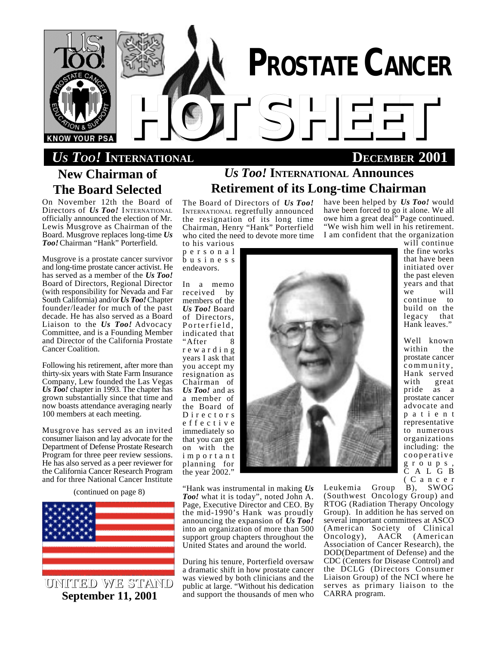

# **New Chairman of The Board Selected**

On November 12th the Board of Directors of *Us Too!* INTERNATIONAL officially announced the election of Mr. Lewis Musgrove as Chairman of the Board. Musgrove replaces long-time *Us Too!* Chairman "Hank" Porterfield.

Musgrove is a prostate cancer survivor and long-time prostate cancer activist. He has served as a member of the *Us Too!* Board of Directors, Regional Director (with responsibility for Nevada and Far South California) and/or *Us Too!* Chapter founder/leader for much of the past decade. He has also served as a Board Liaison to the *Us Too!* Advocacy Committee, and is a Founding Member and Director of the California Prostate Cancer Coalition.

Following his retirement, after more than thirty-six years with State Farm Insurance Company, Lew founded the Las Vegas *Us Too!* chapter in 1993. The chapter has grown substantially since that time and now boasts attendance averaging nearly 100 members at each meeting.

Musgrove has served as an invited consumer liaison and lay advocate for the Department of Defense Prostate Research Program for three peer review sessions. He has also served as a peer reviewer for the California Cancer Research Program and for three National Cancer Institute

(continued on page 8)



**September 11, 2001**

# *Us Too!* **INTERNATIONAL Announces Retirement of its Long-time Chairman**

The Board of Directors of *Us Too!* INTERNATIONAL regretfully announced the resignation of its long time Chairman, Henry "Hank" Porterfield who cited the need to devote more time

to his various p e r s o n a l b u s i n e s s endeavors.

In a memo received by members of the *Us Too!* Board of Directors, Porterfield, indicated that "After 8 r e w a r d i n g years I ask that you accept my resignation as Chairman of *Us Too!* and as a member of the Board of D i r e c t o r s e f f e c t i v e immediately so that you can get on with the i m p o r t a n t planning for the year 2002."

"Hank was instrumental in making *Us Too!* what it is today", noted John A. Page, Executive Director and CEO. By the mid-1990's Hank was proudly announcing the expansion of *Us Too!* into an organization of more than 500 support group chapters throughout the United States and around the world.

During his tenure, Porterfield oversaw a dramatic shift in how prostate cancer was viewed by both clinicians and the public at large. "Without his dedication and support the thousands of men who

have been helped by *Us Too!* would have been forced to go it alone. We all owe him a great deal" Page continued. "We wish him well in his retirement. I am confident that the organization



will continue the fine works that have been initiated over the past eleven years and that we will continue to build on the legacy that Hank leaves."

Well known<br>within the within prostate cancer community, Hank served<br>with great great pride as a prostate cancer advocate and p a t i e n t representative to numerous organizations including: the cooperative g r o u p s , C A L G B ( C a n c e r

Leukemia Group B), SWOG (Southwest Oncology Group) and RTOG (Radiation Therapy Oncology Group). In addition he has served on several important committees at ASCO (American Society of Clinical  $Oncology$ ), Association of Cancer Research), the DOD(Department of Defense) and the CDC (Centers for Disease Control) and the DCLG (Directors Consumer Liaison Group) of the NCI where he serves as primary liaison to the CARRA program.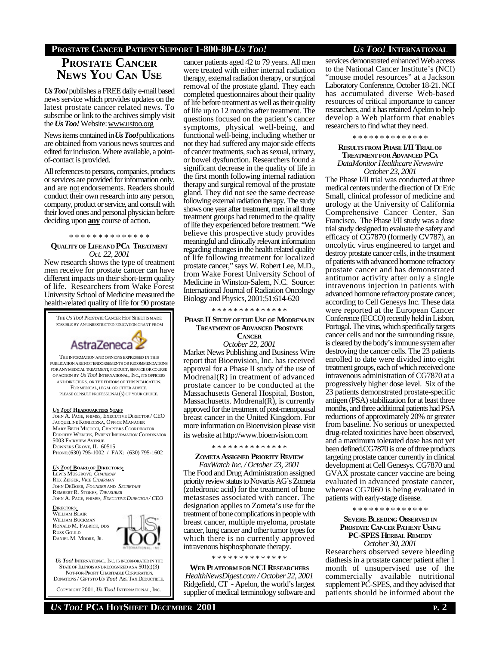# **PROSTATE CANCER PATIENT SUPPORT 1-800-80-***US TOO! US TOO!* **INTERNATIONAL**

# **PROSTATE CANCER NEWS YOU CAN USE**

*Us Too!*publishes a FREE daily e-mail based news service which provides updates on the latest prostate cancer related news. To subscribe or link to the archives simply visit the *Us Too!* Website: www.ustoo.org

News items contained in *Us Too!*publications are obtained from various news sources and edited for inclusion. Where available, a pointof-contact is provided.

All references to persons, companies, products or services are provided for information only, and are not endorsements. Readers should conduct their own research into any person, company, product or service, and consult with their loved ones and personal physician before deciding upon **any** course of action.

#### \* \* \* \* \* \* \* \* \* \* \* \* \* \*

# **QUALITYOF LIFEAND PCA TREATMENT** *Oct. 22, 2001*

New research shows the type of treatment men receive for prostate cancer can have different impacts on their short-term quality of life. Researchers from Wake Forest University School of Medicine measured the health-related quality of life for 90 prostate

THE*US TOO!* PROSTATE CANCER HOT SHEETIS MADE

POSSIBLE BY AN UNRESTRICTED EDUCATION GRANT FROM AstraZeneca THE INFORMATION ANDOPINIONSEXPRESSED IN THIS PUBLICATION ARE NOT ENDORSEMENTS OR RECOMMENDATIONS FOR ANY MEDICAL TREATMENT, PRODUCT, SERVICE OR COURSE OF ACTION BY *US TOO!* INTERNATIONAL, INC., ITS OFFICERS AND DIRECTORS, OR THE EDITORS OF THISPUBLICATION. FOR MEDICAL, LEGAL OR OTHER ADVICE, PLEASE CONSULT PROFESSIONAL(S) OF YOUR CHOICE. *US TOO!* **HEADQUARTERS STAFF** JOHN A. PAGE, FHIMSS, EXECUTIVE DIRECTOR / CEO JACQUELINE KONIECZKA, OFFICE MANAGER MARY BETH MICUCCI, CHAPTERS COORDINATOR DOROTHY WIENCEK, PATIENT INFORMATION COORDINATOR

5003 FAIRVIEW AVENUE DOWNERS GROVE, IL. 60515 PHONE:(630) 795-1002 / FAX: (630) 795-1602

#### *US TOO!* **BOARD OF DIRECTORS:**

LEWIS MUSGROVE, *CHAIRMAN* REX ZEIGER, *VICE CHAIRMAN* JOHN DEBOER, *FOUNDER* AND *SECRETARY* REMBERT R. STOKES, *TREASURER* JOHN A. PAGE, FHIMSS, *EXECUTIVE DIRECTOR / CEO*

DIRECTORS: WILLIAM BLAIR WILLIAM BUCKMAN RONALD M. FABRICK, DDS RUSS GOULD DANIEL M. MOORE, JR.



*US TOO!* INTERNATIONAL, INC. IS INCORPORATED IN THE STATE OF ILLINOIS AND RECOGNIZED AS A  $501(c)(3)$  NOT-FOR-PROFIT CHARITABLE CORPORATION. DONATIONS / GIFTSTO *US TOO!* ARE TAX DEDUCTIBLE.

COPYRIGHT 2001, *US TOO!* INTERNATIONAL, INC.

cancer patients aged 42 to 79 years. All men were treated with either internal radiation therapy, external radiation therapy, or surgical removal of the prostate gland. They each completed questionnaires about their quality of life before treatment as well as their quality of life up to 12 months after treatment. The questions focused on the patient's cancer symptoms, physical well-being, and functional well-being, including whether or not they had suffered any major side effects of cancer treatments, such as sexual, urinary, or bowel dysfunction. Researchers found a significant decrease in the quality of life in the first month following internal radiation therapy and surgical removal of the prostate gland. They did not see the same decrease following external radiation therapy. The study shows one year after treatment, men in all three treatment groups had returned to the quality of life they experienced before treatment. "We believe this prospective study provides meaningful and clinically relevant information regarding changes in the health related quality of life following treatment for localized prostate cancer," says W. Robert Lee, M.D., from Wake Forest University School of Medicine in Winston-Salem, N.C. Source: International Journal of Radiation Oncology Biology and Physics, 2001;51:614-620

\* \* \* \* \* \* \* \* \* \* \* \* \* \*

#### **PHASE II STUDY OFTHE USE OF MODRENAIN TREATMENT OF ADVANCED PROSTATE CANCER**

# *October 22, 2001*

Market News Publishing and Business Wire report that Bioenvision, Inc. has received approval for a Phase II study of the use of Modrenal(R) in treatment of advanced prostate cancer to be conducted at the Massachusetts General Hospital, Boston, Massachusetts. Modrenal(R), is currently approved for the treatment of post-menopausal breast cancer in the United Kingdom. For more information on Bioenvision please visit its website at http://www.bioenvision.com

#### \* \* \* \* \* \* \* \* \* \* \* \* \* \*

## **ZOMETA ASSIGNED PRIORITY REVIEW** *FaxWatch Inc. / October 23, 2001*

The Food and Drug Administration assigned priority review status to Novartis AG's Zometa (zoledronic acid) for the treatment of bone metastases associated with cancer. The designation applies to Zometa's use for the treatment of bone complications in people with breast cancer, multiple myeloma, prostate cancer, lung cancer and other tumor types for which there is no currently approved intravenous bisphosphonate therapy.

# \* \* \* \* \* \* \* \* \* \* \* \* \* \*

**WEB PLATFORM FOR NCI RESEARCHERS** *HealthNewsDigest.com / October 22, 2001* Ridgefield, CT - Apelon, the world's largest supplier of medical terminology software and

services demonstrated enhanced Web access to the National Cancer Institute's (NCI) "mouse model resources" at a Jackson Laboratory Conference, October 18-21. NCI has accumulated diverse Web-based resources of critical importance to cancer researchers, and it has retained Apelon to help develop a Web platform that enables researchers to find what they need.

#### \* \* \* \* \* \* \* \* \* \* \* \* \* \*

# **RESULTS FROM PHASE I/II TRIALOF TREATMENT FOR ADVANCED PC<sup>A</sup>** *DataMonitor Healthcare Newswire*

*October 23, 2001* The Phase I/II trial was conducted at three medical centers under the direction of Dr Eric Small, clinical professor of medicine and urology at the University of California Comprehensive Cancer Center, San Francisco. The Phase I/II study was a dose trial study designed to evaluate the safety and efficacy of CG7870 (formerly CV787), an oncolytic virus engineered to target and destroy prostate cancer cells, in the treatment of patients with advanced hormone refractory prostate cancer and has demonstrated antitumor activity after only a single intravenous injection in patients with advanced hormone refractory prostate cancer, according to Cell Genesys Inc. These data were reported at the European Cancer Conference (ECCO) recently held in Lisbon, Portugal. The virus, which specifically targets cancer cells and not the surrounding tissue, is cleared by the body's immune system after destroying the cancer cells. The 23 patients enrolled to date were divided into eight treatment groups, each of which received one intravenous administration of CG7870 at a progressively higher dose level. Six of the 23 patients demonstrated prostate-specific antigen (PSA) stabilization for at least three months, and three additional patients had PSA reductions of approximately 20% or greater from baseline. No serious or unexpected drug-related toxicities have been observed, and a maximum tolerated dose has not yet been defined.CG7870 is one of three products targeting prostate cancer currently in clinical development at Cell Genesys. CG7870 and GVAX prostate cancer vaccine are being evaluated in advanced prostate cancer, whereas CG7060 is being evaluated in patients with early-stage disease.

### \* \* \* \* \* \* \* \* \* \* \* \* \* \*

**SEVERE BLEEDING OBSERVED IN PROSTATE CANCER PATIENT USING PC-SPES HERBAL REMEDY** *October 30, 2001*

Researchers observed severe bleeding diathesis in a prostate cancer patient after 1 month of unsupervised use of the commercially available nutritional supplement PC-SPES, and they advised that patients should be informed about the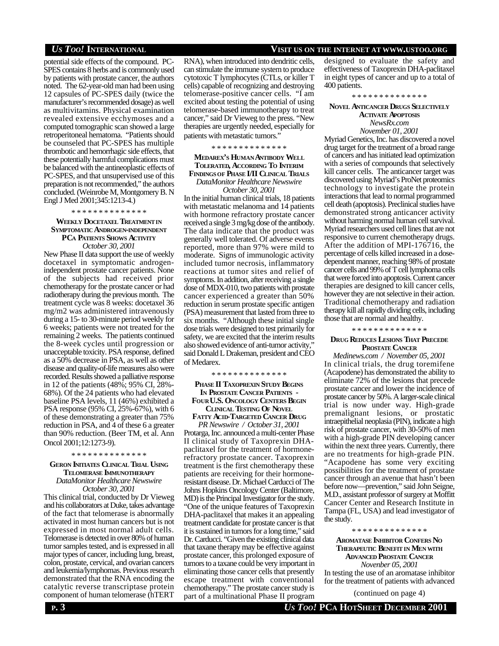potential side effects of the compound. PC-SPES contains 8 herbs and is commonly used by patients with prostate cancer, the authors noted. The 62-year-old man had been using 12 capsules of PC-SPES daily (twice the manufacturer's recommended dosage) as well as multivitamins. Physical examination revealed extensive ecchymoses and a computed tomographic scan showed a large retroperitoneal hematoma. "Patients should be counseled that PC-SPES has multiple thrombotic and hemorrhagic side effects, that these potentially harmful complications must be balanced with the antineoplastic effects of PC-SPES, and that unsupervised use of this preparation is not recommended," the authors concluded. (Weinrobe M, Montgomery B. N Engl J Med 2001;345:1213-4.)

\* \* \* \* \* \* \* \* \* \* \* \* \* \*

# **WEEKLY DOCETAXEL TREATMENTIN SYMPTOMATIC ANDROGEN-INDEPENDENT PCA PATIENTS SHOWS ACTIVITY** *October 30, 2001*

New Phase II data support the use of weekly docetaxel in symptomatic androgenindependent prostate cancer patients. None of the subjects had received prior chemotherapy for the prostate cancer or had radiotherapy during the previous month. The treatment cycle was 8 weeks: docetaxel 36 mg/m2 was administered intravenously during a 15- to 30-minute period weekly for 6 weeks; patients were not treated for the remaining 2 weeks. The patients continued the 8-week cycles until progression or unacceptable toxicity. PSA response, defined as a 50% decrease in PSA, as well as other disease and quality-of-life measures also were recorded. Results showed a palliative response in 12 of the patients (48%; 95% CI, 28%- 68%). Of the 24 patients who had elevated baseline PSA levels, 11 (46%) exhibited a PSA response (95% CI, 25%-67%), with 6 of these demonstrating a greater than 75% reduction in PSA, and 4 of these 6 a greater than 90% reduction. (Beer TM, et al. Ann Oncol 2001;12:1273-9).

\* \* \* \* \* \* \* \* \* \* \* \* \* \*

# **GERON INITIATES CLINICAL TRIAL USING TELOMERASE IMMUNOTHERAPY** *DataMonitor Healthcare Newswire October 30, 2001*

This clinical trial, conducted by Dr Vieweg and his collaborators at Duke, takes advantage of the fact that telomerase is abnormally activated in most human cancers but is not expressed in most normal adult cells. Telomerase is detected in over 80% of human tumor samples tested, and is expressed in all major types of cancer, including lung, breast, colon, prostate, cervical, and ovarian cancers and leukemia/lymphomas. Previous research demonstrated that the RNA encoding the catalytic reverse transcriptase protein component of human telomerase (hTERT

RNA), when introduced into dendritic cells, can stimulate the immune system to produce cytotoxic T lymphocytes (CTLs, or killer T cells) capable of recognizing and destroying telomerase-positive cancer cells. "I am excited about testing the potential of using telomerase-based immunotherapy to treat cancer," said Dr Vieweg to the press. "New therapies are urgently needed, especially for patients with metastatic tumors."

\* \* \* \* \* \* \* \* \* \* \* \* \* \*

# **MEDAREX'S HUMAN ANTIBODY WELL TOLERATED, ACCORDING TO INTERIM FINDINGSOF PHASE I/II CLINICAL TRIALS** *DataMonitor Healthcare Newswire October 30, 2001*

In the initial human clinical trials, 18 patients with metastatic melanoma and 14 patients with hormone refractory prostate cancer received a single 3 mg/kg dose of the antibody. The data indicate that the product was generally well tolerated. Of adverse events reported, more than 97% were mild to moderate. Signs of immunologic activity included tumor necrosis, inflammatory reactions at tumor sites and relief of symptoms. In addition, after receiving a single dose of MDX-010, two patients with prostate cancer experienced a greater than 50% reduction in serum prostate specific antigen (PSA) measurement that lasted from three to six months. "Although these initial single dose trials were designed to test primarily for safety, we are excited that the interim results also showed evidence of anti-tumor activity," said Donald L Drakeman, president and CEO of Medarex.

\* \* \* \* \* \* \* \* \* \* \* \* \* \*

# **PHASE II TAXOPREXIN STUDY BEGINS IN PROSTATE CANCER PATIENTS - FOUR U.S. ONCOLOGY CENTERS BEGIN CLINICAL TESTING OF NOVEL**

**FATTY ACID-TARGETED CANCER DRUG**

*PR Newswire / October 31, 2001* Protarga, Inc. announced a multi-center Phase II clinical study of Taxoprexin DHApaclitaxel for the treatment of hormonerefractory prostate cancer. Taxoprexin treatment is the first chemotherapy these patients are receiving for their hormoneresistant disease. Dr. Michael Carducci of The Johns Hopkins Oncology Center (Baltimore, MD) is the Principal Investigator for the study. "One of the unique features of Taxoprexin DHA-paclitaxel that makes it an appealing treatment candidate for prostate cancer is that it is sustained in tumors for a long time," said Dr. Carducci. "Given the existing clinical data that taxane therapy may be effective against prostate cancer, this prolonged exposure of tumors to a taxane could be very important in eliminating those cancer cells that presently escape treatment with conventional chemotherapy." The prostate cancer study is part of a multinational Phase II program

# *US TOO!* **INTERNATIONAL VISIT US ON THE INTERNET AT WWW.USTOO.ORG**

designed to evaluate the safety and effectiveness of Taxoprexin DHA-paclitaxel in eight types of cancer and up to a total of 400 patients.

\* \* \* \* \* \* \* \* \* \* \* \* \* \*

# **NOVEL ANTICANCER DRUGS SELECTIVELY ACTIVATE APOPTOSIS**

*NewsRx.com November 01, 2001*

Myriad Genetics, Inc. has discovered a novel drug target for the treatment of a broad range of cancers and has initiated lead optimization with a series of compounds that selectively kill cancer cells. The anticancer target was discovered using Myriad's ProNet proteomics technology to investigate the protein interactions that lead to normal programmed cell death (apoptosis). Preclinical studies have demonstrated strong anticancer activity without harming normal human cell survival. Myriad researchers used cell lines that are not responsive to current chemotherapy drugs. After the addition of MPI-176716, the percentage of cells killed increased in a dosedependent manner, reaching 98% of prostate cancer cells and 99% of T cell lymphoma cells that were forced into apoptosis. Current cancer therapies are designed to kill cancer cells, however they are not selective in their action. Traditional chemotherapy and radiation therapy kill all rapidly dividing cells, including those that are normal and healthy.

\* \* \* \* \* \* \* \* \* \* \* \* \* \*

# **DRUG REDUCES LESIONS THAT PRECEDE PROSTATE CANCER**

*Medinews.com / November 05, 2001* In clinical trials, the drug toremifene (Acapodene) has demonstrated the ability to eliminate 72% of the lesions that precede prostate cancer and lower the incidence of prostate cancer by 50%. A larger-scale clinical trial is now under way. High-grade premalignant lesions, or prostatic intraepithelial neoplasia (PIN), indicate a high risk of prostate cancer, with 30-50% of men with a high-grade PIN developing cancer within the next three years. Currently, there are no treatments for high-grade PIN. "Acapodene has some very exciting possibilities for the treatment of prostate cancer through an avenue that hasn't been before now—prevention," said John Seigne, M.D., assistant professor of surgery at Moffitt Cancer Center and Research Institute in Tampa (FL, USA) and lead investigator of the study.

# \* \* \* \* \* \* \* \* \* \* \* \* \* \*

**AROMATASE INHIBITOR CONFERS N<sup>O</sup> THERAPEUTIC BENEFIT IN MEN WITH ADVANCED PROSTATE CANCER**

*Novenber 05, 2001* In testing the use of an aromatase inhibitor for the treatment of patients with advanced

(continued on page 4)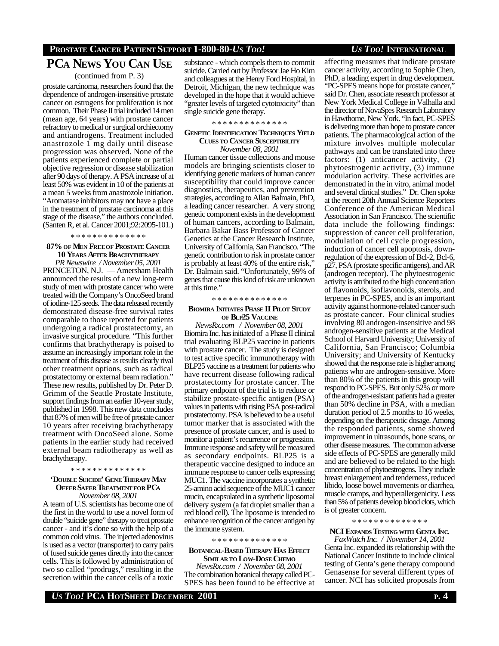# **PROSTATE CANCER PATIENT SUPPORT 1-800-80-***US TOO! US TOO!* **INTERNATIONAL**

# **PCA NEWS YOU CAN USE**

(continued from P. 3)

prostate carcinoma, researchers found that the dependence of androgen-insensitive prostate cancer on estrogens for proliferation is not common. Their Phase II trial included 14 men (mean age, 64 years) with prostate cancer refractory to medical or surgical orchiectomy and antiandrogens. Treatment included anastrozole 1 mg daily until disease progression was observed. None of the patients experienced complete or partial objective regression or disease stabilization after 90 days of therapy. A PSA increase of at least 50% was evident in 10 of the patients at a mean 5 weeks from anastrozole initiation. "Aromatase inhibitors may not have a place in the treatment of prostate carcinoma at this stage of the disease," the authors concluded. (Santen R, et al. Cancer 2001;92:2095-101.)

\* \* \* \* \* \* \* \* \* \* \* \* \* \*

# **87% OF MEN FREEOF PROSTATE CANCER 10 YEARS AFTER BRACHYTHERAPY**

*PR Newswire / November 05, 2001* PRINCETON, N.J. — Amersham Health announced the results of a new long-term study of men with prostate cancer who were treated with the Company's OncoSeed brand of iodine-125 seeds. The data released recently demonstrated disease-free survival rates comparable to those reported for patients undergoing a radical prostatectomy, an invasive surgical procedure. "This further confirms that brachytherapy is poised to assume an increasingly important role in the treatment of this disease as results clearly rival other treatment options, such as radical prostatectomy or external beam radiation." These new results, published by Dr. Peter D. Grimm of the Seattle Prostate Institute, support findings from an earlier 10-year study, published in 1998. This new data concludes that 87% of men will be free of prostate cancer 10 years after receiving brachytherapy treatment with OncoSeed alone. Some patients in the earlier study had received external beam radiotherapy as well as brachytherapy.

## \* \* \* \* \* \* \* \* \* \* \* \* \* \*

## **'DOUBLE SUICIDE' GENE THERAPY MAY OFFER SAFER TREATMENT FOR PC<sup>A</sup>** *November 08, 2001*

A team of U.S. scientists has become one of the first in the world to use a novel form of double "suicide gene" therapy to treat prostate cancer - and it's done so with the help of a common cold virus. The injected adenovirus is used as a vector (transporter) to carry pairs of fused suicide genes directly into the cancer cells. This is followed by administration of two so called "prodrugs," resulting in the secretion within the cancer cells of a toxic

substance - which compels them to commit suicide. Carried out by Professor Jae Ho Kim and colleagues at the Henry Ford Hospital, in Detroit, Michigan, the new technique was developed in the hope that it would achieve "greater levels of targeted cytotoxicity" than single suicide gene therapy.

#### \* \* \* \* \* \* \* \* \* \* \* \* \* \*

# **GENETIC IDENTIFICATION TECHNIQUES YIELD CLUES TO CANCER SUSCEPTIBILITY**

*November 08, 2001*

Human cancer tissue collections and mouse models are bringing scientists closer to identifying genetic markers of human cancer susceptibility that could improve cancer diagnostics, therapeutics, and prevention strategies, according to Allan Balmain, PhD, a leading cancer researcher. A very strong genetic component exists in the development of human cancers, according to Balmain, Barbara Bakar Bass Professor of Cancer Genetics at the Cancer Research Institute, University of California, San Francisco. "The genetic contribution to risk in prostate cancer is probably at least 40% of the entire risk," Dr. Balmain said. "Unfortunately, 99% of genes that cause this kind of risk are unknown at this time."

#### \* \* \* \* \* \* \* \* \* \* \* \* \* \*

## **BIOMIRA INITIATES PHASE II PILOT STUDY OF BLP25 VACCINE**

*NewsRx.com / November 08, 2001* Biomira Inc. has initiated of a Phase II clinical trial evaluating BLP25 vaccine in patients with prostate cancer. The study is designed to test active specific immunotherapy with BLP25 vaccine as a treatment for patients who have recurrent disease following radical prostatectomy for prostate cancer. The primary endpoint of the trial is to reduce or stabilize prostate-specific antigen (PSA) values in patients with rising PSA post-radical prostatectomy. PSA is believed to be a useful tumor marker that is associated with the presence of prostate cancer, and is used to monitor a patient's recurrence or progression. Immune response and safety will be measured as secondary endpoints. BLP25 is a therapeutic vaccine designed to induce an immune response to cancer cells expressing MUC1. The vaccine incorporates a synthetic 25-amino acid sequence of the MUC1 cancer mucin, encapsulated in a synthetic liposomal delivery system (a fat droplet smaller than a red blood cell). The liposome is intended to enhance recognition of the cancer antigen by the immune system.

#### \* \* \* \* \* \* \* \* \* \* \* \* \* \*

### **BOTANICAL-BASED THERAPY HAS EFFECT SIMILAR TO LOW-DOSE CHEMO**

*NewsRx.com / November 08, 2001* The combination botanical therapy called PC-SPES has been found to be effective at affecting measures that indicate prostate cancer activity, according to Sophie Chen, PhD, a leading expert in drug development. "PC-SPES means hope for prostate cancer," said Dr. Chen, associate research professor at New York Medical College in Valhalla and the director of NovaSpes Research Laboratory in Hawthorne, New York. "In fact, PC-SPES is delivering more than hope to prostate cancer patients. The pharmacological action of the mixture involves multiple molecular pathways and can be translated into three factors: (1) anticancer activity, (2) phytoestrogenic activity, (3) immune modulation activity. These activities are demonstrated in the in vitro, animal model and several clinical studies." Dr. Chen spoke at the recent 20th Annual Science Reporters Conference of the American Medical Association in San Francisco. The scientific data include the following findings: suppression of cancer cell proliferation, modulation of cell cycle progression, induction of cancer cell apoptosis, downregulation of the expression of Bcl-2, Bcl-6, p27, PSA (prostate specific antigens), and AR (androgen receptor). The phytoestrogenic activity is attributed to the high concentration of flavonoids, isoflavonoids, sterols, and terpenes in PC-SPES, and is an important activity against hormone-related cancer such as prostate cancer. Four clinical studies involving 80 androgen-insensitive and 98 androgen-sensitive patients at the Medical School of Harvard University; University of California, San Francisco; Columbia University; and University of Kentucky showed that the response rate is higher among patients who are androgen-sensitive. More than 80% of the patients in this group will respond to PC-SPES. But only 52% or more of the androgen-resistant patients had a greater than 50% decline in PSA, with a median duration period of 2.5 months to 16 weeks, depending on the therapeutic dosage. Among the responded patients, some showed improvement in ultrasounds, bone scans, or other disease measures. The common adverse side effects of PC-SPES are generally mild and are believed to be related to the high concentration of phytoestrogens. They include breast enlargement and tenderness, reduced libido, loose bowel movements or diarrhea, muscle cramps, and hyperallergenicity. Less than 5% of patients develop blood clots, which is of greater concern.

#### \* \* \* \* \* \* \* \* \* \* \* \* \* \*

## **NCI EXPANDS TESTING WITH GENTA INC.** *FaxWatch Inc. / November 14, 2001*

Genta Inc. expanded its relationship with the National Cancer Institute to include clinical testing of Genta's gene therapy compound Genasense for several different types of cancer. NCI has solicited proposals from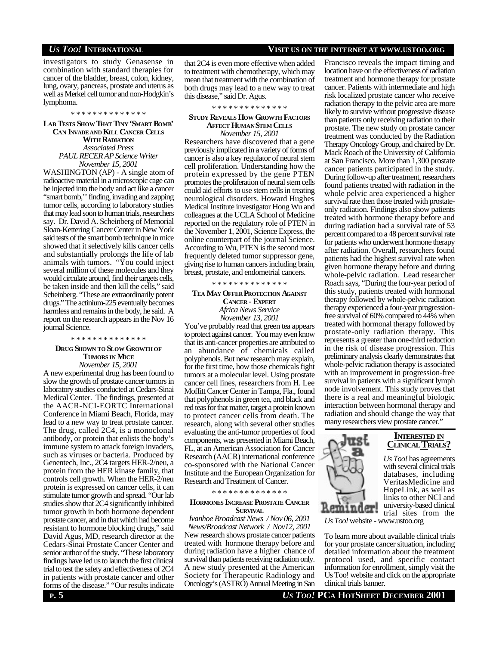# *US TOO!* **INTERNATIONAL VISIT US ON THE INTERNET AT WWW.USTOO.ORG**

investigators to study Genasense in combination with standard therapies for cancer of the bladder, breast, colon, kidney, lung, ovary, pancreas, prostate and uterus as well as Merkel cell tumor and non-Hodgkin's lymphoma.

#### \* \* \* \* \* \* \* \* \* \* \* \* \* \*

# **LAB TESTS SHOW THAT TINY 'SMART BOMB' CAN INVADEAND KILL CANCER CELLS WITH RADIATION**

*Associated Press PAUL RECER AP Science Writer November 15, 2001*

WASHINGTON (AP) - A single atom of radioactive material in a microscopic cage can be injected into the body and act like a cancer "smart bomb,'' finding, invading and zapping tumor cells, according to laboratory studies that may lead soon to human trials, researchers say. Dr. David A. Scheinberg of Memorial Sloan-Kettering Cancer Center in New York said tests of the smart bomb technique in mice showed that it selectively kills cancer cells and substantially prolongs the life of lab animals with tumors. "You could inject several million of these molecules and they would circulate around, find their targets cells, be taken inside and then kill the cells," said Scheinberg. "These are extraordinarily potent drugs." The actinium-225 eventually becomes harmless and remains in the body, he said. A report on the research appears in the Nov 16 journal Science.

\* \* \* \* \* \* \* \* \* \* \* \* \* \*

# **DRUG SHOWN TO SLOW GROWTH OF TUMORS IN MICE** *November 15, 2001*

A new experimental drug has been found to slow the growth of prostate cancer tumors in laboratory studies conducted at Cedars-Sinai Medical Center. The findings, presented at the AACR-NCI-EORTC International Conference in Miami Beach, Florida, may lead to a new way to treat prostate cancer. The drug, called 2C4, is a monoclonal antibody, or protein that enlists the body's immune system to attack foreign invaders, such as viruses or bacteria. Produced by Genentech, Inc., 2C4 targets HER-2/neu, a protein from the HER kinase family, that controls cell growth. When the HER-2/neu protein is expressed on cancer cells, it can stimulate tumor growth and spread. "Our lab studies show that 2C4 significantly inhibited tumor growth in both hormone dependent prostate cancer, and in that which had become resistant to hormone blocking drugs," said David Agus, MD, research director at the Cedars-Sinai Prostate Cancer Center and senior author of the study. "These laboratory findings have led us to launch the first clinical trial to test the safety and effectiveness of 2C4 in patients with prostate cancer and other forms of the disease." "Our results indicate

that 2C4 is even more effective when added to treatment with chemotherapy, which may mean that treatment with the combination of both drugs may lead to a new way to treat this disease," said Dr. Agus.

\* \* \* \* \* \* \* \* \* \* \* \* \* \*

# **STUDY REVEALS HOW GROWTH FACTORS AFFECT HUMAN STEM CELLS**

*November 15, 2001* Researchers have discovered that a gene previously implicated in a variety of forms of cancer is also a key regulator of neural stem cell proliferation. Understanding how the protein expressed by the gene PTEN promotes the proliferation of neural stem cells could aid efforts to use stem cells in treating neurological disorders. Howard Hughes Medical Institute investigator Hong Wu and colleagues at the UCLA School of Medicine reported on the regulatory role of PTEN in the November 1, 2001, Science Express, the online counterpart of the journal Science. According to Wu, PTEN is the second most frequently deleted tumor suppressor gene, giving rise to human cancers including brain, breast, prostate, and endometrial cancers.

\* \* \* \* \* \* \* \* \* \* \* \* \* \*

# **TEA MAY OFFER PROTECTION AGAINST CANCER - EXPERT** *Africa News Service*

*November 13, 2001* You've probably read that green tea appears to protect against cancer. You may even know that its anti-cancer properties are attributed to an abundance of chemicals called polyphenols. But new research may explain, for the first time, how those chemicals fight tumors at a molecular level. Using prostate cancer cell lines, researchers from H. Lee Moffitt Cancer Center in Tampa, Fla., found that polyphenols in green tea, and black and red teas for that matter, target a protein known to protect cancer cells from death. The research, along with several other studies evaluating the anti-tumor properties of food components, was presented in Miami Beach, FL, at an American Association for Cancer Research (AACR) international conference co-sponsored with the National Cancer Institute and the European Organization for Research and Treatment of Cancer.

\* \* \* \* \* \* \* \* \* \* \* \* \* \*

## **HORMONES INCREASE PROSTATE CANCER SURVIVAL**

*Ivanhoe Broadcast News / Nov 06, 2001 News/Broadcast Network / Nov12, 2001*

New research shows prostate cancer patients treated with hormone therapy before and during radiation have a higher chance of survival than patients receiving radiation only. A new study presented at the American Society for Therapeutic Radiology and Oncology's (ASTRO) Annual Meeting in San

Francisco reveals the impact timing and location have on the effectiveness of radiation treatment and hormone therapy for prostate cancer. Patients with intermediate and high risk localized prostate cancer who receive radiation therapy to the pelvic area are more likely to survive without progressive disease than patients only receiving radiation to their prostate. The new study on prostate cancer treatment was conducted by the Radiation Therapy Oncology Group, and chaired by Dr. Mack Roach of the University of California at San Francisco. More than 1,300 prostate cancer patients participated in the study. During follow-up after treatment, researchers found patients treated with radiation in the whole pelvic area experienced a higher survival rate then those treated with prostateonly radiation. Findings also show patients treated with hormone therapy before and during radiation had a survival rate of 53 percent compared to a 48 percent survival rate for patients who underwent hormone therapy after radiation. Overall, researchers found patients had the highest survival rate when given hormone therapy before and during whole-pelvic radiation. Lead researcher Roach says, "During the four-year period of this study, patients treated with hormonal therapy followed by whole-pelvic radiation therapy experienced a four-year progressionfree survival of 60% compared to 44% when treated with hormonal therapy followed by prostate-only radiation therapy. This represents a greater than one-third reduction in the risk of disease progression. This preliminary analysis clearly demonstrates that whole-pelvic radiation therapy is associated with an improvement in progression-free survival in patients with a significant lymph node involvement. This study proves that there is a real and meaningful biologic interaction between hormonal therapy and radiation and should change the way that many researchers view prostate cancer."



# **INTERESTED IN CLINICALTRIALS?**

*Us Too!* has agreements with several clinical trials databases, including VeritasMedicine and HopeLink, as well as links to other NCI and university-based clinical trial sites from the

*Us Too!* website - www.ustoo.org

To learn more about available clinical trials for your prostate cancer situation, including detailed information about the treatment protocol used, and specific contact information for enrollment, simply visit the Us Too! website and click on the appropriate clinical trials banner.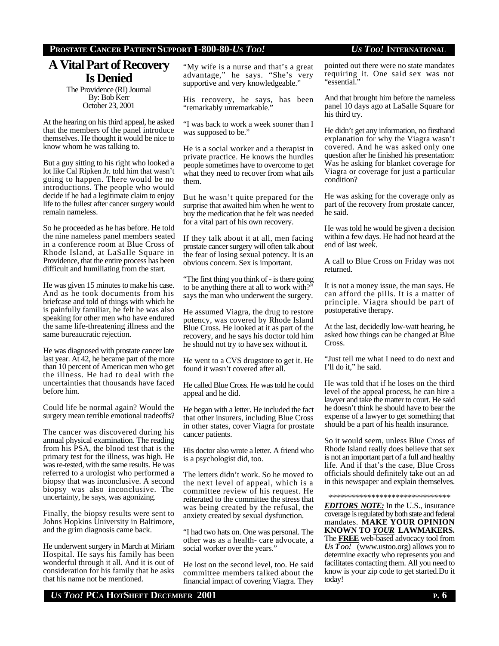# **PROSTATE CANCER PATIENT SUPPORT 1-800-80-***US TOO! US TOO!* **INTERNATIONAL**

# **A Vital Part of Recovery Is Denied**

The Providence (RI) Journal By: Bob Kerr October 23, 2001

At the hearing on his third appeal, he asked that the members of the panel introduce themselves. He thought it would be nice to know whom he was talking to.

But a guy sitting to his right who looked a lot like Cal Ripken Jr. told him that wasn't going to happen. There would be no introductions. The people who would decide if he had a legitimate claim to enjoy life to the fullest after cancer surgery would remain nameless.

So he proceeded as he has before. He told the nine nameless panel members seated in a conference room at Blue Cross of Rhode Island, at LaSalle Square in Providence, that the entire process has been difficult and humiliating from the start.

He was given 15 minutes to make his case. And as he took documents from his briefcase and told of things with which he is painfully familiar, he felt he was also speaking for other men who have endured the same life-threatening illness and the same bureaucratic rejection.

He was diagnosed with prostate cancer late last year. At 42, he became part of the more than 10 percent of American men who get the illness. He had to deal with the uncertainties that thousands have faced before him.

Could life be normal again? Would the surgery mean terrible emotional tradeoffs?

The cancer was discovered during his annual physical examination. The reading from his PSA, the blood test that is the primary test for the illness, was high. He was re-tested, with the same results. He was referred to a urologist who performed a biopsy that was inconclusive. A second biopsy was also inconclusive. The uncertainty, he says, was agonizing.

Finally, the biopsy results were sent to Johns Hopkins University in Baltimore, and the grim diagnosis came back.

He underwent surgery in March at Miriam Hospital. He says his family has been wonderful through it all. And it is out of consideration for his family that he asks that his name not be mentioned.

"My wife is a nurse and that's a great advantage," he says. "She's very supportive and very knowledgeable."

His recovery, he says, has been "remarkably unremarkable."

"I was back to work a week sooner than I was supposed to be."

He is a social worker and a therapist in private practice. He knows the hurdles people sometimes have to overcome to get what they need to recover from what ails them.

But he wasn't quite prepared for the surprise that awaited him when he went to buy the medication that he felt was needed for a vital part of his own recovery.

If they talk about it at all, men facing prostate cancer surgery will often talk about the fear of losing sexual potency. It is an obvious concern. Sex is important.

"The first thing you think of - is there going to be anything there at all to work with?" says the man who underwent the surgery.

He assumed Viagra, the drug to restore potency, was covered by Rhode Island Blue Cross. He looked at it as part of the recovery, and he says his doctor told him he should not try to have sex without it.

He went to a CVS drugstore to get it. He found it wasn't covered after all.

He called Blue Cross. He was told he could appeal and he did.

He began with a letter. He included the fact that other insurers, including Blue Cross in other states, cover Viagra for prostate cancer patients.

His doctor also wrote a letter. A friend who is a psychologist did, too.

The letters didn't work. So he moved to the next level of appeal, which is a committee review of his request. He reiterated to the committee the stress that was being created by the refusal, the anxiety created by sexual dysfunction.

"I had two hats on. One was personal. The other was as a health- care advocate, a social worker over the years."

He lost on the second level, too. He said committee members talked about the financial impact of covering Viagra. They pointed out there were no state mandates requiring it. One said sex was not "essential."

And that brought him before the nameless panel 10 days ago at LaSalle Square for his third try.

He didn't get any information, no firsthand explanation for why the Viagra wasn't covered. And he was asked only one question after he finished his presentation: Was he asking for blanket coverage for Viagra or coverage for just a particular condition?

He was asking for the coverage only as part of the recovery from prostate cancer, he said.

He was told he would be given a decision within a few days. He had not heard at the end of last week.

A call to Blue Cross on Friday was not returned.

It is not a money issue, the man says. He can afford the pills. It is a matter of principle. Viagra should be part of postoperative therapy.

At the last, decidedly low-watt hearing, he asked how things can be changed at Blue Cross.

"Just tell me what I need to do next and I'll do it," he said.

He was told that if he loses on the third level of the appeal process, he can hire a lawyer and take the matter to court. He said he doesn't think he should have to bear the expense of a lawyer to get something that should be a part of his health insurance.

So it would seem, unless Blue Cross of Rhode Island really does believe that sex is not an important part of a full and healthy life. And if that's the case, Blue Cross officials should definitely take out an ad in this newspaper and explain themselves.

\*\*\*\*\*\*\*\*\*\*\*\*\*\*\*\*\*\*\*\*\*\*\*\*\*\*\*\*\*\*\*

*EDITORS NOTE:* In the U.S., insurance coverage is regulated by both state and federal mandates. **MAKE YOUR OPINION KNOWN TO** *YOUR* **LAWMAKERS.** The **FREE** web-based advocacy tool from *US TOO!* (www.ustoo.org) allows you to determine exactly who represents you and facilitates contacting them. All you need to know is your zip code to get started.Do it today!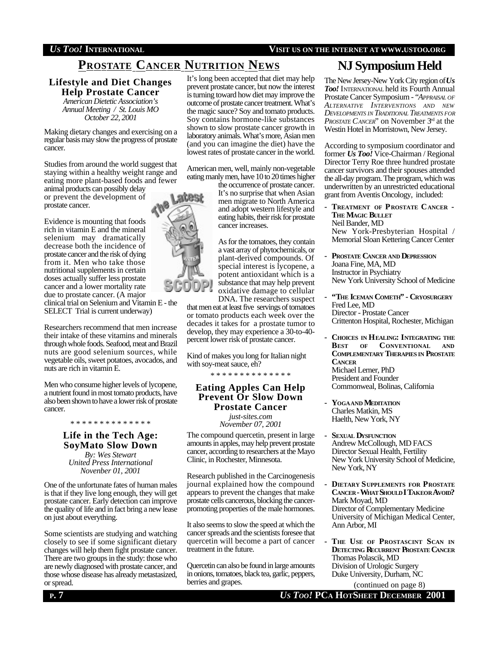# *US TOO!* **INTERNATIONAL VISIT US ON THE INTERNET AT WWW.USTOO.ORG**

# **PROSTATE CANCER NUTRITION NEWS NJ Symposium Held**

# **Lifestyle and Diet Changes Help Prostate Cancer**

*American Dietetic Association's Annual Meeting / St. Louis MO October 22, 2001*

Making dietary changes and exercising on a regular basis may slow the progress of prostate cancer.

Studies from around the world suggest that staying within a healthy weight range and eating more plant-based foods and fewer animal products can possibly delay or prevent the development of prostate cancer.

Evidence is mounting that foods rich in vitamin E and the mineral selenium may dramatically decrease both the incidence of prostate cancer and the risk of dying from it. Men who take those nutritional supplements in certain doses actually suffer less prostate cancer and a lower mortality rate due to prostate cancer. (A major clinical trial on Selenium and Vitamin E - the SELECT Trial is current underway)

Researchers recommend that men increase their intake of these vitamins and minerals through whole foods. Seafood, meat and Brazil nuts are good selenium sources, while vegetable oils, sweet potatoes, avocados, and nuts are rich in vitamin E.

Men who consume higher levels of lycopene, a nutrient found in most tomato products, have also been shown to have a lower risk of prostate cancer.

\* \* \* \* \* \* \* \* \* \* \* \* \* \*

# **Life in the Tech Age: SoyMato Slow Down**

*By: Wes Stewart United Press International Novenber 01, 2001*

One of the unfortunate fates of human males is that if they live long enough, they will get prostate cancer. Early detection can improve the quality of life and in fact bring a new lease on just about everything.

Some scientists are studying and watching closely to see if some significant dietary changes will help them fight prostate cancer. There are two groups in the study: those who are newly diagnosed with prostate cancer, and those whose disease has already metastasized, or spread.

It's long been accepted that diet may help prevent prostate cancer, but now the interest is turning toward how diet may improve the outcome of prostate cancer treatment. What's the magic sauce? Soy and tomato products. Soy contains hormone-like substances shown to slow prostate cancer growth in laboratory animals. What's more, Asian men (and you can imagine the diet) have the lowest rates of prostate cancer in the world.

American men, well, mainly non-vegetable eating manly men, have 10 to 20 times higher

the occurrence of prostate cancer. It's no surprise that when Asian men migrate to North America and adopt western lifestyle and eating habits, their risk for prostate cancer increases.

As for the tomatoes, they contain a vast array of phytochemicals, or plant-derived compounds. Of special interest is lycopene, a potent antioxidant which is a substance that may help prevent oxidative damage to cellular DNA. The researchers suspect

that men eat at least five servings of tomatoes or tomato products each week over the decades it takes for a prostate tumor to develop, they may experience a 30-to-40 percent lower risk of prostate cancer.

Kind of makes you long for Italian night with soy-meat sauce, eh?

\* \* \* \* \* \* \* \* \* \* \* \* \* \*

# **Eating Apples Can Help Prevent Or Slow Down Prostate Cancer** *just-sites.com*

*November 07, 2001*

The compound quercetin, present in large amounts in apples, may help prevent prostate cancer, according to researchers at the Mayo Clinic, in Rochester, Minnesota.

Research published in the Carcinogenesis journal explained how the compound appears to prevent the changes that make prostate cells cancerous, blocking the cancerpromoting properties of the male hormones.

It also seems to slow the speed at which the cancer spreads and the scientists foresee that quercetin will become a part of cancer treatment in the future.

Quercetin can also be found in large amounts in onions, tomatoes, black tea, garlic, peppers, berries and grapes.

The New Jersey-New York City region of *Us Too!* INTERNATIONAL held its Fourth Annual Prostate Cancer Symposium - "*APPRAISAL OF ALTERNATIVE INTERVENTIONS AND NEW DEVELOPMENTS IN TRADITIONAL TREATMENTS FOR PROSTATE CANCER*" on November 3rd at the Westin Hotel in Morristown, New Jersey.

According to symposium coordinator and former *Us Too!* Vice-Chairman / Regional Director Terry Roe three hundred prostate cancer survivors and their spouses attended the all-day program. The program, which was underwritten by an unrestricted educational grant from Aventis Oncology, included:

- **- TREATMENT OF PROSTATE CANCER - THE MAGIC BULLET** Neil Bander, MD New York-Presbyterian Hospital / Memorial Sloan Kettering Cancer Center
- **- PROSTATE CANCER AND DEPRESSION** Joana Fine, MA, MD Instructor in Psychiatry New York University School of Medicine
- **- "THE ICEMAN COMETH" CRYOSURGERY** Fred Lee, MD Director - Prostate Cancer Crittenton Hospital, Rochester, Michigan
- **- CHOICES IN HEALING: INTEGRATING THE BEST OF CONVENTIONAL AND COMPLEMENTARY THERAPIES IN PROSTATE CANCER** Michael Lerner, PhD President and Founder Commonweal, Bolinas, California
- **- YOGAAND MEDITATION** Charles Matkin, MS Haelth, New York, NY
- **- SEXUAL DYSFUNCTION** Andrew McCollough, MD FACS Director Sexual Health, Fertility New York University School of Medicine, New York, NY
- **- DIETARY SUPPLEMENTS FOR PROSTATE CANCER - WHAT SHOULD I TAKEOR AVOID?** Mark Moyad, MD Director of Complementary Medicine University of Michigan Medical Center, Ann Arbor, MI
- **- THE USE OF PROSTASCINT SCAN IN DETECTING RECURRENT PROSTATE CANCER** Thomas Polascik, MD Division of Urologic Surgery Duke University, Durham, NC (continued on page 8)

**P**. 7 **U***S* **TOO! PCAHOTSHEET DECEMBER** 2001